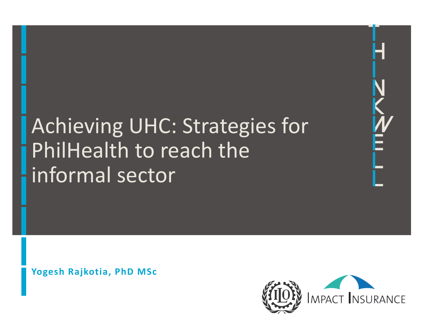

# Achieving UHC: Strategies for PhilHealth to reach the informal sector

**Yogesh Rajkotia, PhD MSc**

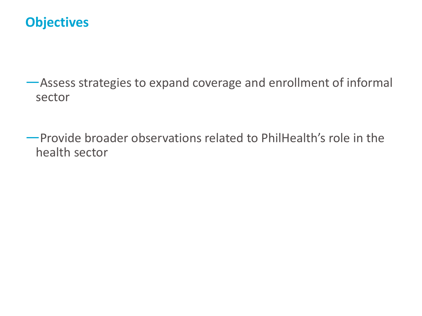#### **Objectives**

—Assess strategies to expand coverage and enrollment of informal sector

—Provide broader observations related to PhilHealth's role in the health sector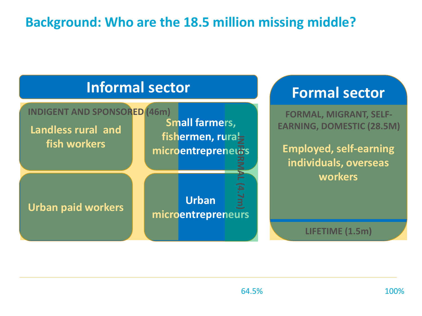#### **Background: Who are the 18.5 million missing middle?**

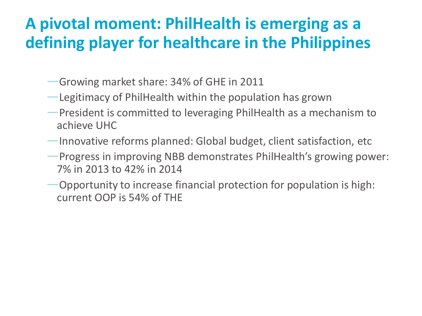### **A pivotal moment: PhilHealth is emerging as a defining player for healthcare in the Philippines**

- —Growing market share: 34% of GHE in 2011
- —Legitimacy of PhilHealth within the population has grown
- —President is committed to leveraging PhilHealth as a mechanism to achieve UHC
- —Innovative reforms planned: Global budget, client satisfaction, etc
- —Progress in improving NBB demonstrates PhilHealth's growing power: 7% in 2013 to 42% in 2014
- —Opportunity to increase financial protection for population is high: current OOP is 54% of THE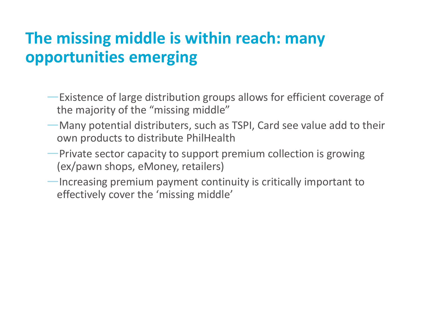# **The missing middle is within reach: many opportunities emerging**

- —Existence of large distribution groups allows for efficient coverage of the majority of the "missing middle"
- —Many potential distributers, such as TSPI, Card see value add to their own products to distribute PhilHealth
- —Private sector capacity to support premium collection is growing (ex/pawn shops, eMoney, retailers)
- —Increasing premium payment continuity is critically important to effectively cover the 'missing middle'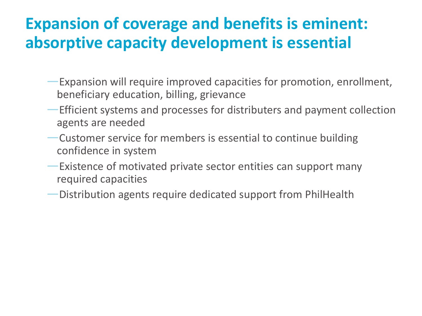#### **Expansion of coverage and benefits is eminent: absorptive capacity development is essential**

- —Expansion will require improved capacities for promotion, enrollment, beneficiary education, billing, grievance
- —Efficient systems and processes for distributers and payment collection agents are needed
- —Customer service for members is essential to continue building confidence in system
- —Existence of motivated private sector entities can support many required capacities
- —Distribution agents require dedicated support from PhilHealth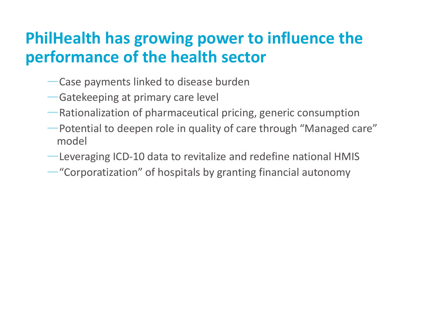### **PhilHealth has growing power to influence the performance of the health sector**

- —Case payments linked to disease burden
- —Gatekeeping at primary care level
- —Rationalization of pharmaceutical pricing, generic consumption
- —Potential to deepen role in quality of care through "Managed care" model
- —Leveraging ICD-10 data to revitalize and redefine national HMIS
- —"Corporatization" of hospitals by granting financial autonomy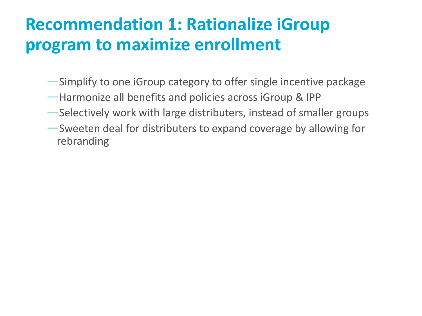# **Recommendation 1: Rationalize iGroup program to maximize enrollment**

- —Simplify to one iGroup category to offer single incentive package
- —Harmonize all benefits and policies across iGroup & IPP
- —Selectively work with large distributers, instead of smaller groups
- —Sweeten deal for distributers to expand coverage by allowing for rebranding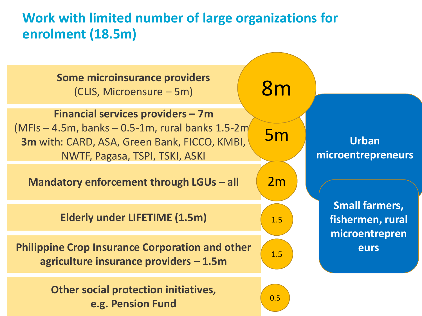#### **Work with limited number of large organizations for enrolment (18.5m)**

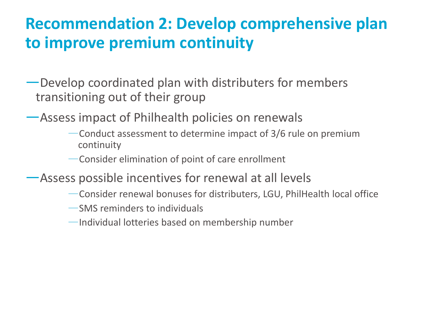#### **Recommendation 2: Develop comprehensive plan to improve premium continuity**

- —Develop coordinated plan with distributers for members transitioning out of their group
- —Assess impact of Philhealth policies on renewals
	- —Conduct assessment to determine impact of 3/6 rule on premium continuity
	- —Consider elimination of point of care enrollment
- —Assess possible incentives for renewal at all levels
	- —Consider renewal bonuses for distributers, LGU, PhilHealth local office
	- —SMS reminders to individuals
	- —Individual lotteries based on membership number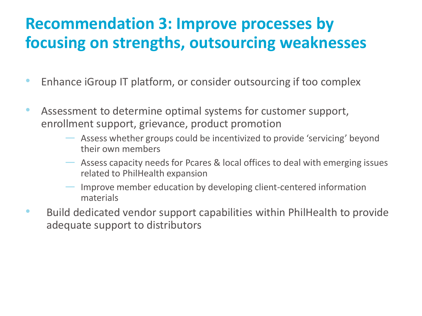### **Recommendation 3: Improve processes by focusing on strengths, outsourcing weaknesses**

- Enhance iGroup IT platform, or consider outsourcing if too complex
- Assessment to determine optimal systems for customer support, enrollment support, grievance, product promotion
	- Assess whether groups could be incentivized to provide 'servicing' beyond their own members
	- Assess capacity needs for Pcares & local offices to deal with emerging issues related to PhilHealth expansion
	- Improve member education by developing client-centered information materials
- Build dedicated vendor support capabilities within PhilHealth to provide adequate support to distributors